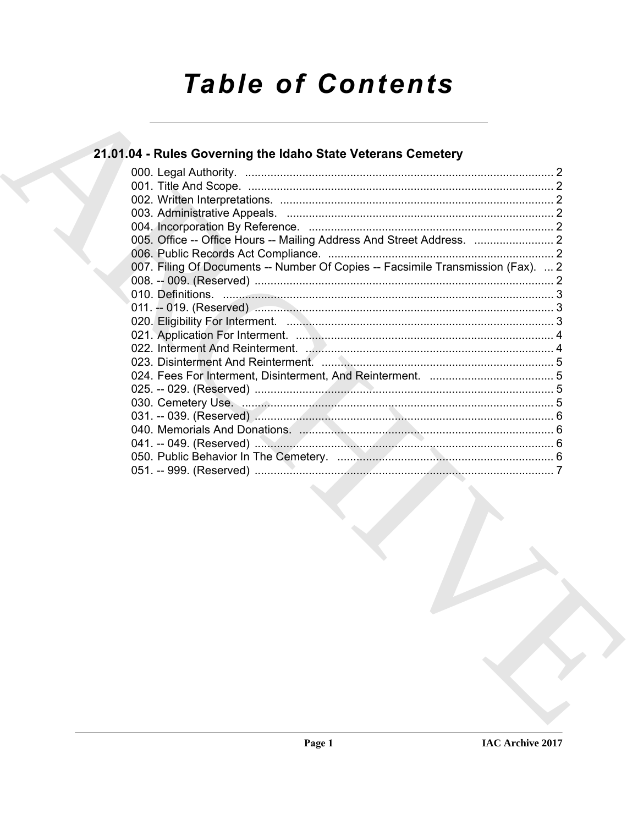# **Table of Contents**

### 21.01.04 - Rules Governing the Idaho State Veterans Cemetery

| 007. Filing Of Documents -- Number Of Copies -- Facsimile Transmission (Fax).  2 |  |
|----------------------------------------------------------------------------------|--|
|                                                                                  |  |
|                                                                                  |  |
|                                                                                  |  |
|                                                                                  |  |
|                                                                                  |  |
|                                                                                  |  |
|                                                                                  |  |
|                                                                                  |  |
|                                                                                  |  |
|                                                                                  |  |
|                                                                                  |  |
|                                                                                  |  |
|                                                                                  |  |
|                                                                                  |  |
|                                                                                  |  |
|                                                                                  |  |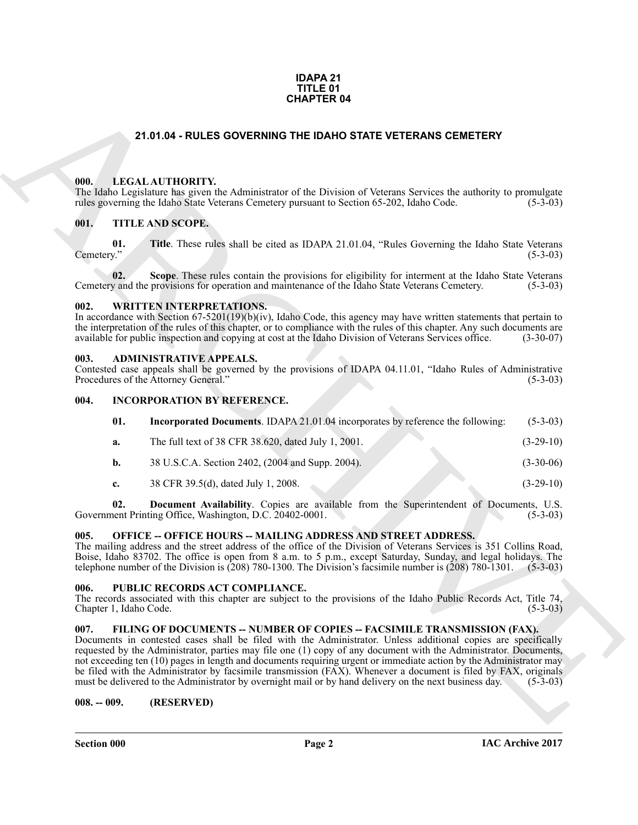#### **IDAPA 21 TITLE 01 CHAPTER 04**

#### **21.01.04 - RULES GOVERNING THE IDAHO STATE VETERANS CEMETERY**

#### <span id="page-1-1"></span><span id="page-1-0"></span>**000. LEGAL AUTHORITY.**

#### <span id="page-1-2"></span>**001. TITLE AND SCOPE.**

#### <span id="page-1-3"></span>**002. WRITTEN INTERPRETATIONS.**

#### <span id="page-1-4"></span>**003. ADMINISTRATIVE APPEALS.**

#### <span id="page-1-5"></span>**004. INCORPORATION BY REFERENCE.**

|                                |     | <b>CHAPTER 04</b>                                                                                                                                                                                                                                                                                                                                                                                                                                                                                                                                                                                                                                                |             |
|--------------------------------|-----|------------------------------------------------------------------------------------------------------------------------------------------------------------------------------------------------------------------------------------------------------------------------------------------------------------------------------------------------------------------------------------------------------------------------------------------------------------------------------------------------------------------------------------------------------------------------------------------------------------------------------------------------------------------|-------------|
|                                |     | 21.01.04 - RULES GOVERNING THE IDAHO STATE VETERANS CEMETERY                                                                                                                                                                                                                                                                                                                                                                                                                                                                                                                                                                                                     |             |
| 000.                           |     | LEGAL AUTHORITY.<br>The Idaho Legislature has given the Administrator of the Division of Veterans Services the authority to promulgate<br>rules governing the Idaho State Veterans Cemetery pursuant to Section 65-202, Idaho Code.                                                                                                                                                                                                                                                                                                                                                                                                                              | $(5-3-03)$  |
| 001.                           |     | TITLE AND SCOPE.                                                                                                                                                                                                                                                                                                                                                                                                                                                                                                                                                                                                                                                 |             |
| Cemetery."                     | 01. | Title. These rules shall be cited as IDAPA 21.01.04, "Rules Governing the Idaho State Veterans"                                                                                                                                                                                                                                                                                                                                                                                                                                                                                                                                                                  | $(5-3-03)$  |
|                                | 02. | Scope. These rules contain the provisions for eligibility for interment at the Idaho State Veterans<br>Cemetery and the provisions for operation and maintenance of the Idaho State Veterans Cemetery.                                                                                                                                                                                                                                                                                                                                                                                                                                                           | $(5-3-03)$  |
| 002.                           |     | <b>WRITTEN INTERPRETATIONS.</b><br>In accordance with Section $67-5201(19)(b)(iv)$ , Idaho Code, this agency may have written statements that pertain to<br>the interpretation of the rules of this chapter, or to compliance with the rules of this chapter. Any such documents are<br>available for public inspection and copying at cost at the Idaho Division of Veterans Services office.                                                                                                                                                                                                                                                                   | $(3-30-07)$ |
| 003.                           |     | <b>ADMINISTRATIVE APPEALS.</b><br>Contested case appeals shall be governed by the provisions of IDAPA 04.11.01, "Idaho Rules of Administrative<br>Procedures of the Attorney General."                                                                                                                                                                                                                                                                                                                                                                                                                                                                           | $(5-3-03)$  |
| 004.                           |     | <b>INCORPORATION BY REFERENCE.</b>                                                                                                                                                                                                                                                                                                                                                                                                                                                                                                                                                                                                                               |             |
|                                | 01. | Incorporated Documents. IDAPA 21.01.04 incorporates by reference the following:                                                                                                                                                                                                                                                                                                                                                                                                                                                                                                                                                                                  | $(5-3-03)$  |
| a.                             |     | The full text of 38 CFR 38.620, dated July 1, 2001.                                                                                                                                                                                                                                                                                                                                                                                                                                                                                                                                                                                                              | $(3-29-10)$ |
| $\mathbf{b}$ .                 |     | 38 U.S.C.A. Section 2402, (2004 and Supp. 2004).                                                                                                                                                                                                                                                                                                                                                                                                                                                                                                                                                                                                                 | $(3-30-06)$ |
| c.                             |     | 38 CFR 39.5(d), dated July 1, 2008.                                                                                                                                                                                                                                                                                                                                                                                                                                                                                                                                                                                                                              | $(3-29-10)$ |
| 02.                            |     | Document Availability. Copies are available from the Superintendent of Documents, U.S.<br>Government Printing Office, Washington, D.C. 20402-0001.                                                                                                                                                                                                                                                                                                                                                                                                                                                                                                               | $(5-3-03)$  |
| 005.                           |     | <b>OFFICE -- OFFICE HOURS -- MAILING ADDRESS AND STREET ADDRESS.</b><br>The mailing address and the street address of the office of the Division of Veterans Services is 351 Collins Road,<br>Boise, Idaho 83702. The office is open from 8 a.m. to 5 p.m., except Saturday, Sunday, and legal holidays. The<br>telephone number of the Division is $(208)$ 780-1300. The Division's facsimile number is $(208)$ 780-1301.                                                                                                                                                                                                                                       | $(5-3-03)$  |
| 006.<br>Chapter 1, Idaho Code. |     | PUBLIC RECORDS ACT COMPLIANCE.<br>The records associated with this chapter are subject to the provisions of the Idaho Public Records Act, Title 74,                                                                                                                                                                                                                                                                                                                                                                                                                                                                                                              | $(5-3-03)$  |
| 007.                           |     | FILING OF DOCUMENTS -- NUMBER OF COPIES -- FACSIMILE TRANSMISSION (FAX).<br>Documents in contested cases shall be filed with the Administrator. Unless additional copies are specifically<br>requested by the Administrator, parties may file one (1) copy of any document with the Administrator. Documents,<br>not exceeding ten (10) pages in length and documents requiring urgent or immediate action by the Administrator may<br>be filed with the Administrator by facsimile transmission (FAX). Whenever a document is filed by FAX, originals<br>must be delivered to the Administrator by overnight mail or by hand delivery on the next business day. | $(5-3-03)$  |
| $008. - 009.$                  |     | (RESERVED)                                                                                                                                                                                                                                                                                                                                                                                                                                                                                                                                                                                                                                                       |             |

#### <span id="page-1-6"></span>**005. OFFICE -- OFFICE HOURS -- MAILING ADDRESS AND STREET ADDRESS.**

#### <span id="page-1-7"></span>**006. PUBLIC RECORDS ACT COMPLIANCE.**

#### <span id="page-1-8"></span>**007. FILING OF DOCUMENTS -- NUMBER OF COPIES -- FACSIMILE TRANSMISSION (FAX).**

#### <span id="page-1-9"></span>**008. -- 009. (RESERVED)**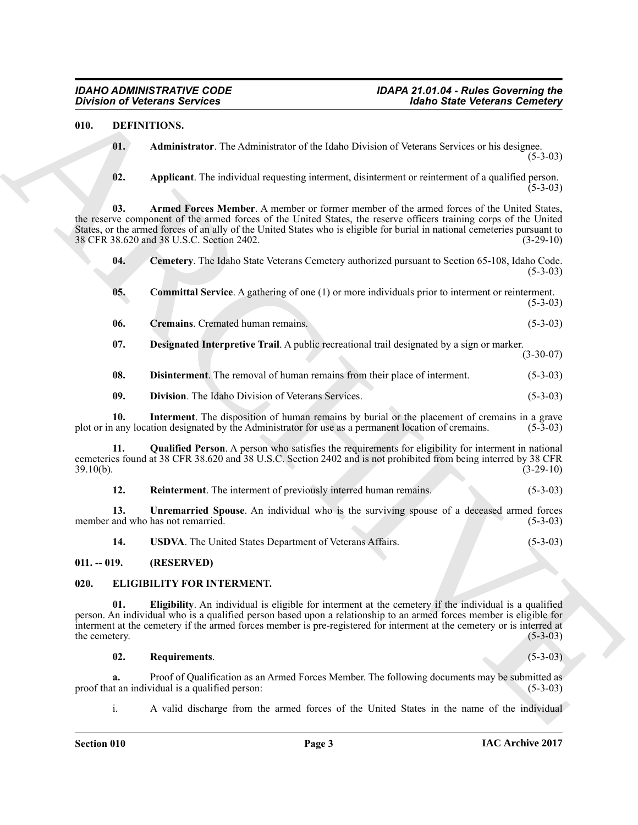#### <span id="page-2-9"></span><span id="page-2-8"></span><span id="page-2-7"></span><span id="page-2-6"></span><span id="page-2-5"></span><span id="page-2-4"></span><span id="page-2-3"></span><span id="page-2-0"></span>**010. DEFINITIONS.**

**Division of Victorians Services**<br>
19. **Archivestrans Services**<br>
19. **Archivestrans Constitution** and *Constitution* of the Light Constitution Services at the design  $\alpha$ <br>
19. **Applicant** The redividual experime internets **01. Administrator**. The Administrator of the Idaho Division of Veterans Services or his designee.  $(5-3-03)$ **02. Applicant**. The individual requesting interment, disinterment or reinterment of a qualified person.  $(5-3-03)$ **03. Armed Forces Member**. A member or former member of the armed forces of the United States, the reserve component of the armed forces of the United States, the reserve officers training corps of the United States, or the armed forces of an ally of the United States who is eligible for burial in national cemeteries pursuant to 38 CFR 38.620 and 38 U.S.C. Section 2402. 38 CFR 38.620 and 38 U.S.C. Section 2402. **04. Cemetery**. The Idaho State Veterans Cemetery authorized pursuant to Section 65-108, Idaho Code.  $(5-3-03)$ **05.** Committal Service. A gathering of one (1) or more individuals prior to interment or reinterment.  $(5-3-03)$ **06. Cremains**. Cremated human remains. (5-3-03) **07. Designated Interpretive Trail**. A public recreational trail designated by a sign or marker. (3-30-07) **08. Disinterment**. The removal of human remains from their place of interment. (5-3-03) **09. Division**. The Idaho Division of Veterans Services. (5-3-03) **10.** Interment. The disposition of human remains by burial or the placement of cremains in a grave any location designated by the Administrator for use as a permanent location of cremains. (5-3-03) plot or in any location designated by the Administrator for use as a permanent location of cremains. **11. Qualified Person**. A person who satisfies the requirements for eligibility for interment in national cemeteries found at 38 CFR 38.620 and 38 U.S.C. Section 2402 and is not prohibited from being interred by 38 CFR  $39.10(b)$ . (3-29-10) **12. Reinterment**. The interment of previously interred human remains. (5-3-03)

<span id="page-2-14"></span><span id="page-2-13"></span><span id="page-2-12"></span><span id="page-2-11"></span><span id="page-2-10"></span>**13. Unremarried Spouse**. An individual who is the surviving spouse of a deceased armed forces member and who has not remarried. (5-3-03)

<span id="page-2-19"></span><span id="page-2-18"></span><span id="page-2-17"></span><span id="page-2-16"></span><span id="page-2-15"></span>**14. USDVA**. The United States Department of Veterans Affairs. (5-3-03)

#### <span id="page-2-1"></span>**011. -- 019. (RESERVED)**

#### <span id="page-2-2"></span>**020. ELIGIBILITY FOR INTERMENT.**

**01. Eligibility**. An individual is eligible for interment at the cemetery if the individual is a qualified person. An individual who is a qualified person based upon a relationship to an armed forces member is eligible for interment at the cemetery if the armed forces member is pre-registered for interment at the cemetery or is interred at the cemetery.

#### <span id="page-2-20"></span>**02. Requirements**. (5-3-03)

**a.** Proof of Qualification as an Armed Forces Member. The following documents may be submitted as t an individual is a qualified person: (5-3-03) proof that an individual is a qualified person:

i. A valid discharge from the armed forces of the United States in the name of the individual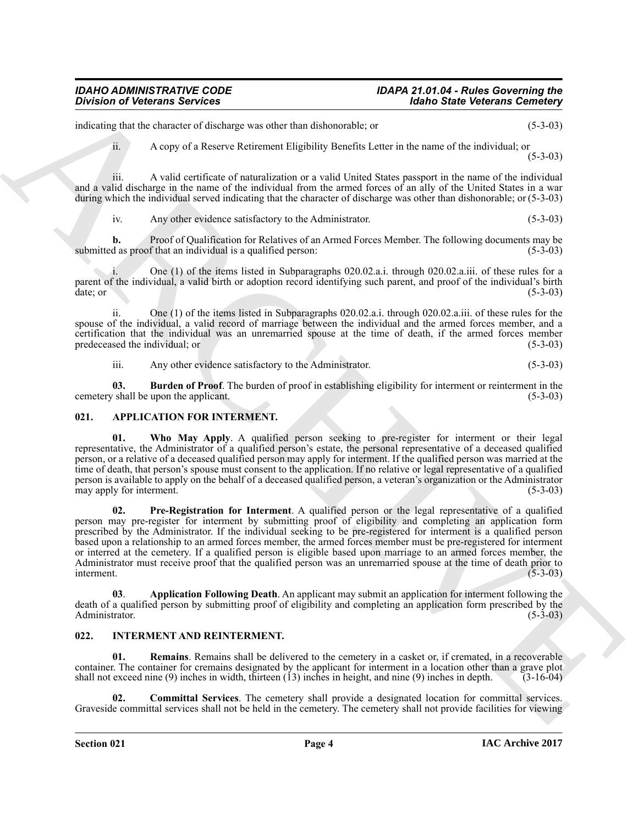#### *IDAHO ADMINISTRATIVE CODE IDAPA 21.01.04 - Rules Governing the Division of Veterans Services Idaho State Veterans Cemetery*

indicating that the character of discharge was other than dishonorable; or (5-3-03)

ii. A copy of a Reserve Retirement Eligibility Benefits Letter in the name of the individual; or  $(5-3-03)$ 

iii. A valid certificate of naturalization or a valid United States passport in the name of the individual and a valid discharge in the name of the individual from the armed forces of an ally of the United States in a war during which the individual served indicating that the character of discharge was other than dishonorable; or (5-3-03)

iv. Any other evidence satisfactory to the Administrator. (5-3-03)

**b.** Proof of Qualification for Relatives of an Armed Forces Member. The following documents may be d as proof that an individual is a qualified person: (5-3-03) submitted as proof that an individual is a qualified person:

One (1) of the items listed in Subparagraphs 020.02.a.i. through 020.02.a.iii. of these rules for a parent of the individual, a valid birth or adoption record identifying such parent, and proof of the individual's birth date; or (5-3-03)  $\det$ ; or (5-3-03)

ii. One (1) of the items listed in Subparagraphs 020.02.a.i. through 020.02.a.iii. of these rules for the spouse of the individual, a valid record of marriage between the individual and the armed forces member, and a certification that the individual was an unremarried spouse at the time of death, if the armed forces member predeceased the individual; or

<span id="page-3-6"></span><span id="page-3-5"></span>iii. Any other evidence satisfactory to the Administrator. (5-3-03)

**03. Burden of Proof**. The burden of proof in establishing eligibility for interment or reinterment in the <br>(5-3-03) (5-3-03) cemetery shall be upon the applicant.

#### <span id="page-3-2"></span><span id="page-3-0"></span>**021. APPLICATION FOR INTERMENT.**

<span id="page-3-4"></span>**01. Who May Apply**. A qualified person seeking to pre-register for interment or their legal representative, the Administrator of a qualified person's estate, the personal representative of a deceased qualified person, or a relative of a deceased qualified person may apply for interment. If the qualified person was married at the time of death, that person's spouse must consent to the application. If no relative or legal representative of a qualified person is available to apply on the behalf of a deceased qualified person, a veteran's organization or the Administrator may apply for interment.

Division of Victorian Services<br>
muscular terms of the same was older that decorates the first Velocity of the same of the first Velocity 2-201<br>
and it is concerned to decorate the same was obtained to the same of the indi **02. Pre-Registration for Interment**. A qualified person or the legal representative of a qualified person may pre-register for interment by submitting proof of eligibility and completing an application form prescribed by the Administrator. If the individual seeking to be pre-registered for interment is a qualified person based upon a relationship to an armed forces member, the armed forces member must be pre-registered for interment or interred at the cemetery. If a qualified person is eligible based upon marriage to an armed forces member, the Administrator must receive proof that the qualified person was an unremarried spouse at the time of death prior to interment. (5-3-03) interment. (5-3-03)

<span id="page-3-3"></span>**03**. **Application Following Death**. An applicant may submit an application for interment following the death of a qualified person by submitting proof of eligibility and completing an application form prescribed by the Administrator. (5-3-03)

#### <span id="page-3-7"></span><span id="page-3-1"></span>**022. INTERMENT AND REINTERMENT.**

<span id="page-3-9"></span>**Remains**. Remains shall be delivered to the cemetery in a casket or, if cremated, in a recoverable container. The container for cremains designated by the applicant for interment in a location other than a grave plot shall not exceed nine (9) inches in width, thirteen (13) inches in height, and nine (9) inches in depth. (3-16-04)

<span id="page-3-8"></span>**02. Committal Services**. The cemetery shall provide a designated location for committal services. Graveside committal services shall not be held in the cemetery. The cemetery shall not provide facilities for viewing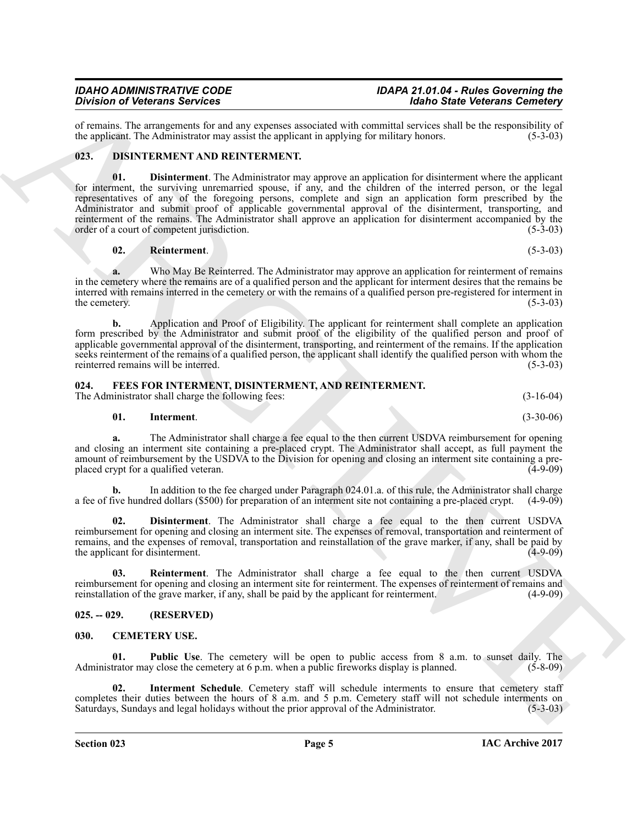of remains. The arrangements for and any expenses associated with committal services shall be the responsibility of the applicant. The Administrator may assist the applicant in applying for military honors. (5-3-03) the applicant. The Administrator may assist the applicant in applying for military honors.

#### <span id="page-4-8"></span><span id="page-4-7"></span><span id="page-4-0"></span>**023. DISINTERMENT AND REINTERMENT.**

Division of Network Section 2. The Matthews and the Control of Matthews and Network Section 2. The Matthews are the Section 2. The Matthews are the Section 2. The Matthews are the Section 2. The Matthews are the Section 2 **01. Disinterment**. The Administrator may approve an application for disinterment where the applicant for interment, the surviving unremarried spouse, if any, and the children of the interred person, or the legal representatives of any of the foregoing persons, complete and sign an application form prescribed by the Administrator and submit proof of applicable governmental approval of the disinterment, transporting, and reinterment of the remains. The Administrator shall approve an application for disinterment accompanied by the order of a court of competent jurisdiction. (5-3-03) order of a court of competent jurisdiction.

#### <span id="page-4-9"></span>**02. Reinterment**. (5-3-03)

**a.** Who May Be Reinterred. The Administrator may approve an application for reinterment of remains in the cemetery where the remains are of a qualified person and the applicant for interment desires that the remains be interred with remains interred in the cemetery or with the remains of a qualified person pre-registered for interment in the cemetery.

**b.** Application and Proof of Eligibility. The applicant for reinterment shall complete an application form prescribed by the Administrator and submit proof of the eligibility of the qualified person and proof of applicable governmental approval of the disinterment, transporting, and reinterment of the remains. If the application seeks reinterment of the remains of a qualified person, the applicant shall identify the qualified person with whom the reinterred remains will be interred. (5-3-03) reinterred remains will be interred.

#### <span id="page-4-10"></span><span id="page-4-1"></span>**024. FEES FOR INTERMENT, DISINTERMENT, AND REINTERMENT.**

The Administrator shall charge the following fees: (3-16-04) (3-16-04)

#### <span id="page-4-12"></span>**01. Interment**. (3-30-06)

**a.** The Administrator shall charge a fee equal to the then current USDVA reimbursement for opening and closing an interment site containing a pre-placed crypt. The Administrator shall accept, as full payment the amount of reimbursement by the USDVA to the Division for opening and closing an interment site containing a preplaced crypt for a qualified veteran. (4-9-09)

**b.** In addition to the fee charged under Paragraph 024.01.a. of this rule, the Administrator shall charge a fee of five hundred dollars (\$500) for preparation of an interment site not containing a pre-placed crypt. (4-9-09)

<span id="page-4-11"></span>**02. Disinterment**. The Administrator shall charge a fee equal to the then current USDVA reimbursement for opening and closing an interment site. The expenses of removal, transportation and reinterment of remains, and the expenses of removal, transportation and reinstallation of the grave marker, if any, shall be paid by the applicant for disinterment. (4-9-09) the applicant for disinterment.

<span id="page-4-13"></span>**03. Reinterment**. The Administrator shall charge a fee equal to the then current USDVA reimbursement for opening and closing an interment site for reinterment. The expenses of reinterment of remains and reinstallation of the grave marker, if any, shall be paid by the applicant for reinterment. (4-9-09) reinstallation of the grave marker, if any, shall be paid by the applicant for reinterment.

#### <span id="page-4-2"></span>**025. -- 029. (RESERVED)**

#### <span id="page-4-4"></span><span id="page-4-3"></span>**030. CEMETERY USE.**

<span id="page-4-6"></span>**01. Public Use**. The cemetery will be open to public access from 8 a.m. to sunset daily. The trator may close the cemetery at 6 p.m. when a public fireworks display is planned. (5-8-09) Administrator may close the cemetery at  $6 \text{ p.m.}$  when a public fireworks display is planned.

<span id="page-4-5"></span>**02. Interment Schedule**. Cemetery staff will schedule interments to ensure that cemetery staff completes their duties between the hours of 8 a.m. and 5 p.m. Cemetery staff will not schedule interments on Saturdays, Sundays and legal holidays without the prior approval of the Administrator. (5-3-03) Saturdays, Sundays and legal holidays without the prior approval of the Administrator.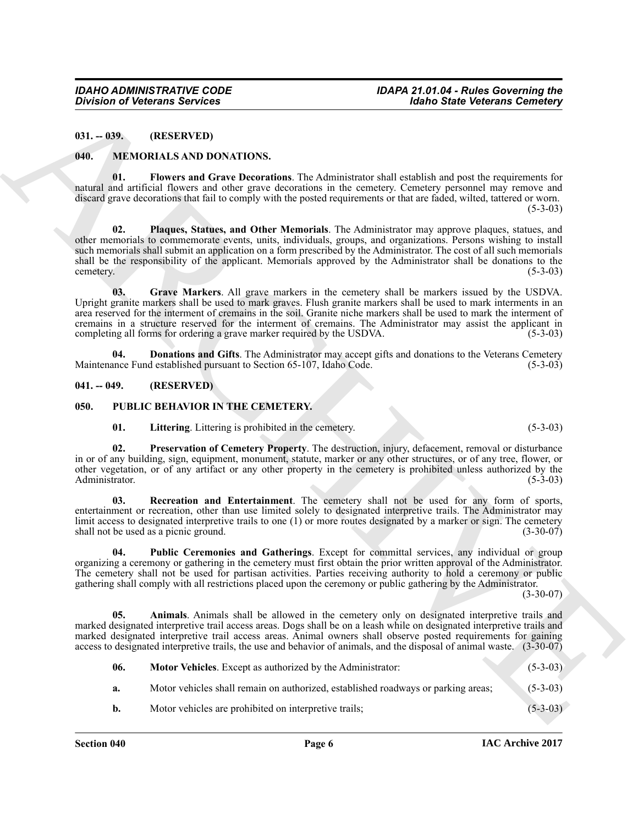#### <span id="page-5-8"></span><span id="page-5-6"></span><span id="page-5-4"></span><span id="page-5-1"></span><span id="page-5-0"></span>**040. MEMORIALS AND DONATIONS.**

#### <span id="page-5-7"></span><span id="page-5-5"></span><span id="page-5-2"></span>**041. -- 049. (RESERVED)**

#### <span id="page-5-15"></span><span id="page-5-14"></span><span id="page-5-13"></span><span id="page-5-11"></span><span id="page-5-9"></span><span id="page-5-3"></span>**050. PUBLIC BEHAVIOR IN THE CEMETERY.**

|                       | <b>Division of Veterans Services</b>                                    |                                                                                                                                                                                                                                                                                                                                                                                                                                                                     | <b>Idaho State Veterans Cemetery</b> |
|-----------------------|-------------------------------------------------------------------------|---------------------------------------------------------------------------------------------------------------------------------------------------------------------------------------------------------------------------------------------------------------------------------------------------------------------------------------------------------------------------------------------------------------------------------------------------------------------|--------------------------------------|
| $031. - 039.$         | (RESERVED)                                                              |                                                                                                                                                                                                                                                                                                                                                                                                                                                                     |                                      |
| 040.                  | MEMORIALS AND DONATIONS.                                                |                                                                                                                                                                                                                                                                                                                                                                                                                                                                     |                                      |
| 01.                   |                                                                         | Flowers and Grave Decorations. The Administrator shall establish and post the requirements for<br>natural and artificial flowers and other grave decorations in the cemetery. Cemetery personnel may remove and<br>discard grave decorations that fail to comply with the posted requirements or that are faded, wilted, tattered or worn.                                                                                                                          | $(5-3-03)$                           |
| 02.<br>cemetery.      |                                                                         | Plaques, Statues, and Other Memorials. The Administrator may approve plaques, statues, and<br>other memorials to commemorate events, units, individuals, groups, and organizations. Persons wishing to install<br>such memorials shall submit an application on a form prescribed by the Administrator. The cost of all such memorials<br>shall be the responsibility of the applicant. Memorials approved by the Administrator shall be donations to the           | $(5-3-03)$                           |
| 03.                   | completing all forms for ordering a grave marker required by the USDVA. | Grave Markers. All grave markers in the cemetery shall be markers issued by the USDVA.<br>Upright granite markers shall be used to mark graves. Flush granite markers shall be used to mark interments in an<br>area reserved for the interment of cremains in the soil. Granite niche markers shall be used to mark the interment of<br>cremains in a structure reserved for the interment of cremains. The Administrator may assist the applicant in              | $(5-3-03)$                           |
| 04.                   | Maintenance Fund established pursuant to Section 65-107, Idaho Code.    | Donations and Gifts. The Administrator may accept gifts and donations to the Veterans Cemetery                                                                                                                                                                                                                                                                                                                                                                      | $(5-3-03)$                           |
| $041. - 049.$         | (RESERVED)                                                              |                                                                                                                                                                                                                                                                                                                                                                                                                                                                     |                                      |
| 050.                  | PUBLIC BEHAVIOR IN THE CEMETERY.                                        |                                                                                                                                                                                                                                                                                                                                                                                                                                                                     |                                      |
| 01.                   | Littering. Littering is prohibited in the cemetery.                     |                                                                                                                                                                                                                                                                                                                                                                                                                                                                     | $(5-3-03)$                           |
| 02.<br>Administrator. |                                                                         | Preservation of Cemetery Property. The destruction, injury, defacement, removal or disturbance<br>in or of any building, sign, equipment, monument, statute, marker or any other structures, or of any tree, flower, or<br>other vegetation, or of any artifact or any other property in the cemetery is prohibited unless authorized by the                                                                                                                        | $(5-3-03)$                           |
| 03.                   | shall not be used as a picnic ground.                                   | Recreation and Entertainment. The cemetery shall not be used for any form of sports,<br>entertainment or recreation, other than use limited solely to designated interpretive trails. The Administrator may<br>limit access to designated interpretive trails to one (1) or more routes designated by a marker or sign. The cemetery                                                                                                                                | $(3-30-07)$                          |
| 04.                   |                                                                         | Public Ceremonies and Gatherings. Except for committal services, any individual or group<br>organizing a ceremony or gathering in the cemetery must first obtain the prior written approval of the Administrator.<br>The cemetery shall not be used for partisan activities. Parties receiving authority to hold a ceremony or public<br>gathering shall comply with all restrictions placed upon the ceremony or public gathering by the Administrator.            | $(3-30-07)$                          |
| 05.                   |                                                                         | Animals. Animals shall be allowed in the cemetery only on designated interpretive trails and<br>marked designated interpretive trail access areas. Dogs shall be on a leash while on designated interpretive trails and<br>marked designated interpretive trail access areas. Animal owners shall observe posted requirements for gaining<br>access to designated interpretive trails, the use and behavior of animals, and the disposal of animal waste. (3-30-07) |                                      |
| 06.                   | Motor Vehicles. Except as authorized by the Administrator:              |                                                                                                                                                                                                                                                                                                                                                                                                                                                                     | $(5-3-03)$                           |
| a.                    |                                                                         | Motor vehicles shall remain on authorized, established roadways or parking areas;                                                                                                                                                                                                                                                                                                                                                                                   | $(5-3-03)$                           |
|                       |                                                                         |                                                                                                                                                                                                                                                                                                                                                                                                                                                                     |                                      |

<span id="page-5-12"></span><span id="page-5-10"></span>**Section 040 Page 6**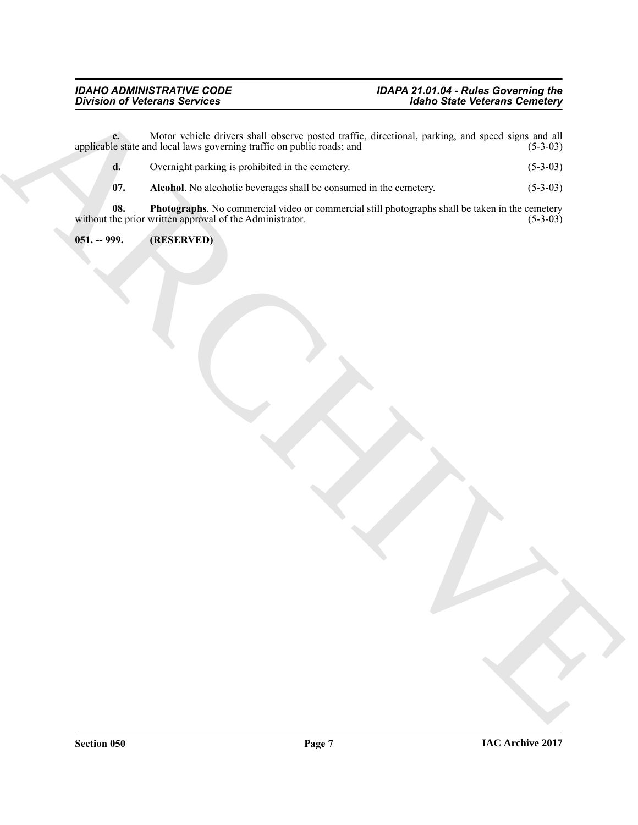$BivA$  is the control of the state of the control of the state of the state of the state of the state of the state of the state of the state of the state of the state of the state of the state of the state of the state of **c.** Motor vehicle drivers shall observe posted traffic, directional, parking, and speed signs and all le state and local laws governing traffic on public roads; and (5-3-03) applicable state and local laws governing traffic on public roads; and

- **d.** Overnight parking is prohibited in the cemetery. (5-3-03)
- <span id="page-6-2"></span><span id="page-6-1"></span>**07.** Alcohol. No alcoholic beverages shall be consumed in the cemetery. (5-3-03)

**08.** Photographs. No commercial video or commercial still photographs shall be taken in the cemetery the prior written approval of the Administrator. (5-3-03) without the prior written approval of the Administrator.

<span id="page-6-0"></span>**051. -- 999. (RESERVED)**